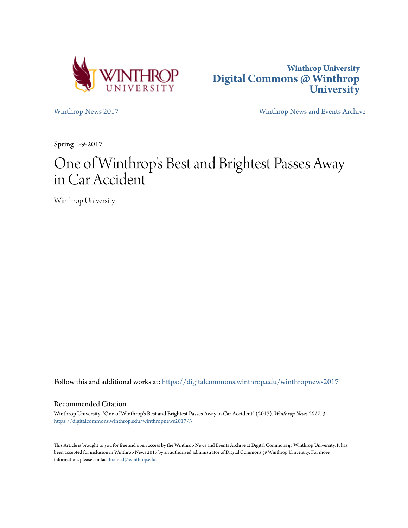



[Winthrop News 2017](https://digitalcommons.winthrop.edu/winthropnews2017?utm_source=digitalcommons.winthrop.edu%2Fwinthropnews2017%2F3&utm_medium=PDF&utm_campaign=PDFCoverPages) [Winthrop News and Events Archive](https://digitalcommons.winthrop.edu/winthropnewsarchives?utm_source=digitalcommons.winthrop.edu%2Fwinthropnews2017%2F3&utm_medium=PDF&utm_campaign=PDFCoverPages)

Spring 1-9-2017

# One of Winthrop 's Best and Brightest Passes Away in Car Accident

Winthrop University

Follow this and additional works at: [https://digitalcommons.winthrop.edu/winthropnews2017](https://digitalcommons.winthrop.edu/winthropnews2017?utm_source=digitalcommons.winthrop.edu%2Fwinthropnews2017%2F3&utm_medium=PDF&utm_campaign=PDFCoverPages)

#### Recommended Citation

Winthrop University, "One of Winthrop's Best and Brightest Passes Away in Car Accident" (2017). *Winthrop News 2017*. 3. [https://digitalcommons.winthrop.edu/winthropnews2017/3](https://digitalcommons.winthrop.edu/winthropnews2017/3?utm_source=digitalcommons.winthrop.edu%2Fwinthropnews2017%2F3&utm_medium=PDF&utm_campaign=PDFCoverPages)

This Article is brought to you for free and open access by the Winthrop News and Events Archive at Digital Commons @ Winthrop University. It has been accepted for inclusion in Winthrop News 2017 by an authorized administrator of Digital Commons @ Winthrop University. For more information, please contact [bramed@winthrop.edu](mailto:bramed@winthrop.edu).